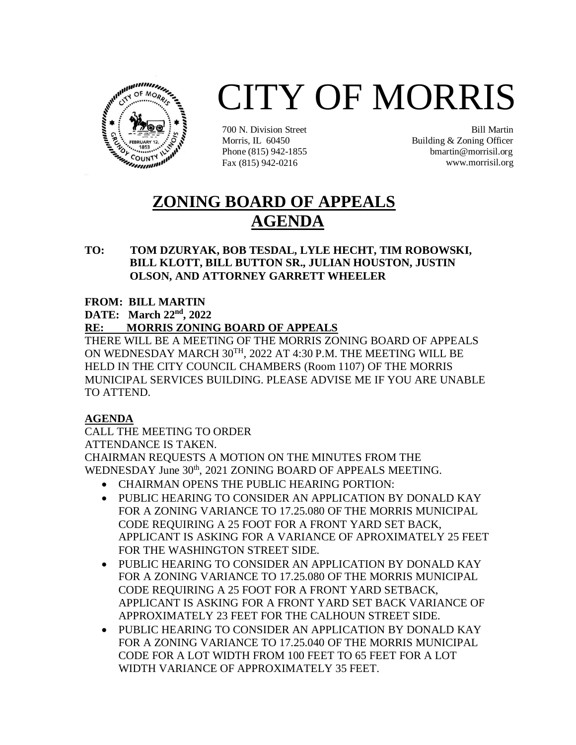

# CITY OF MORRIS

700 N. Division Street Morris, IL 60450 Phone (815) 942-1855 Fax (815) 942-0216

Bill Martin Building & Zoning Officer bmartin@morrisil.org www.morrisil.org

## **ZONING BOARD OF APPEALS AGENDA**

#### **TO: TOM DZURYAK, BOB TESDAL, LYLE HECHT, TIM ROBOWSKI, BILL KLOTT, BILL BUTTON SR., JULIAN HOUSTON, JUSTIN OLSON, AND ATTORNEY GARRETT WHEELER**

#### **FROM: BILL MARTIN**

**DATE:** March 22<sup>nd</sup>, 2022

#### **RE: MORRIS ZONING BOARD OF APPEALS**

THERE WILL BE A MEETING OF THE MORRIS ZONING BOARD OF APPEALS ON WEDNESDAY MARCH 30<sup>TH</sup>, 2022 AT 4:30 P.M. THE MEETING WILL BE HELD IN THE CITY COUNCIL CHAMBERS (Room 1107) OF THE MORRIS MUNICIPAL SERVICES BUILDING. PLEASE ADVISE ME IF YOU ARE UNABLE TO ATTEND.

### **AGENDA**

CALL THE MEETING TO ORDER ATTENDANCE IS TAKEN. CHAIRMAN REQUESTS A MOTION ON THE MINUTES FROM THE WEDNESDAY June 30<sup>th</sup>, 2021 ZONING BOARD OF APPEALS MEETING.

- CHAIRMAN OPENS THE PUBLIC HEARING PORTION:
- PUBLIC HEARING TO CONSIDER AN APPLICATION BY DONALD KAY FOR A ZONING VARIANCE TO 17.25.080 OF THE MORRIS MUNICIPAL CODE REQUIRING A 25 FOOT FOR A FRONT YARD SET BACK, APPLICANT IS ASKING FOR A VARIANCE OF APROXIMATELY 25 FEET FOR THE WASHINGTON STREET SIDE.
- PUBLIC HEARING TO CONSIDER AN APPLICATION BY DONALD KAY FOR A ZONING VARIANCE TO 17.25.080 OF THE MORRIS MUNICIPAL CODE REQUIRING A 25 FOOT FOR A FRONT YARD SETBACK, APPLICANT IS ASKING FOR A FRONT YARD SET BACK VARIANCE OF APPROXIMATELY 23 FEET FOR THE CALHOUN STREET SIDE.
- PUBLIC HEARING TO CONSIDER AN APPLICATION BY DONALD KAY FOR A ZONING VARIANCE TO 17.25.040 OF THE MORRIS MUNICIPAL CODE FOR A LOT WIDTH FROM 100 FEET TO 65 FEET FOR A LOT WIDTH VARIANCE OF APPROXIMATELY 35 FEET.